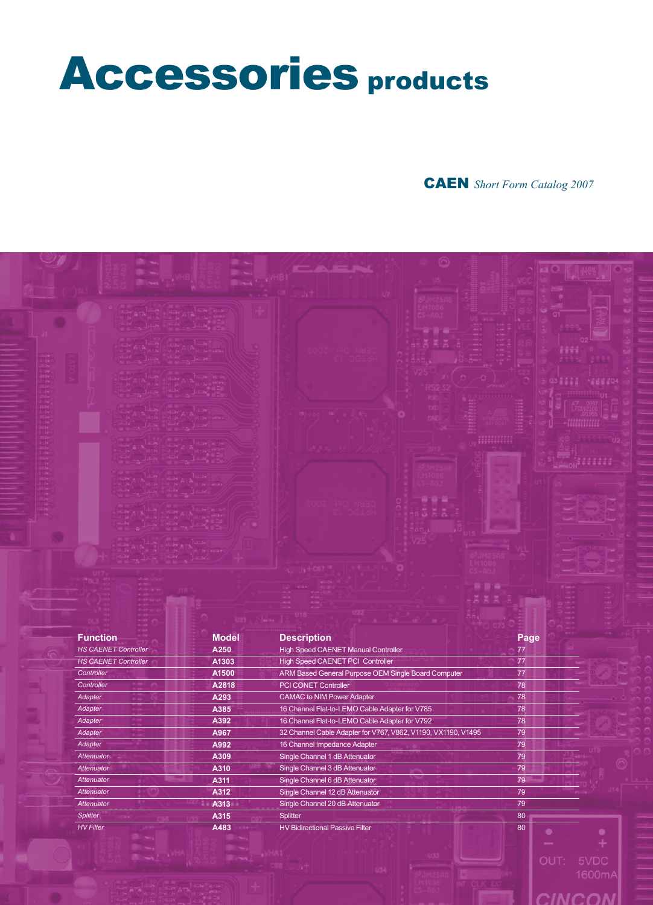# Accessories products

# CAEN *Short Form Catalog 2007*

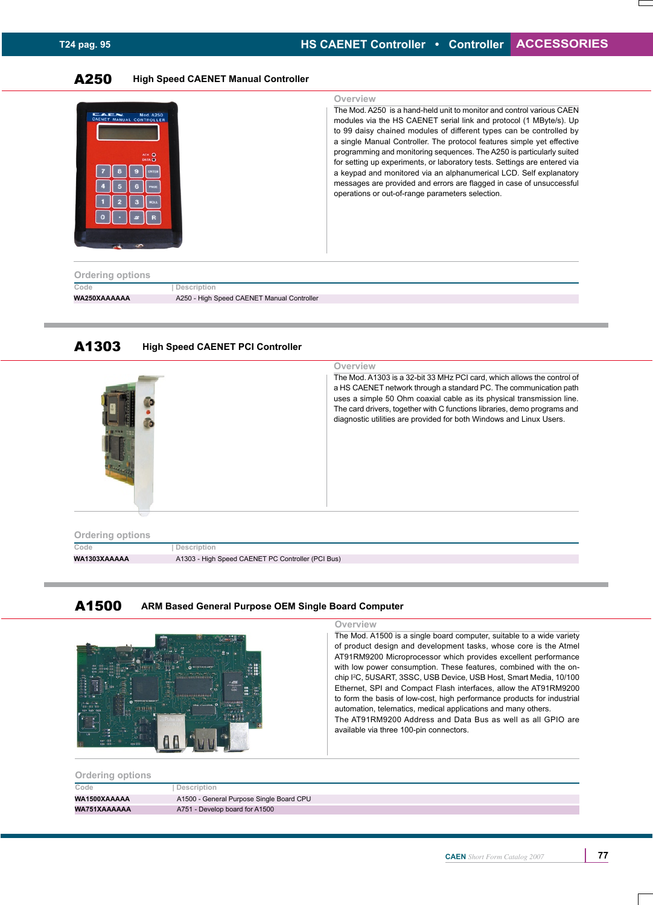# A250 **High Speed CAENET Manual Controller**

| <b>CAEN</b><br>Mod. A250<br>CAENET MANUAL CONTROLLER<br>ACK O<br><b>DATA O</b><br><b>Ordering options</b> |                                            | Overview<br>The Mod. A250 is a hand-held unit to monitor and control various CAEN<br>modules via the HS CAENET serial link and protocol (1 MByte/s). Up<br>to 99 daisy chained modules of different types can be controlled by<br>a single Manual Controller. The protocol features simple yet effective<br>programming and monitoring sequences. The A250 is particularly suited<br>for setting up experiments, or laboratory tests. Settings are entered via<br>a keypad and monitored via an alphanumerical LCD. Self explanatory<br>messages are provided and errors are flagged in case of unsuccessful<br>operations or out-of-range parameters selection. |
|-----------------------------------------------------------------------------------------------------------|--------------------------------------------|------------------------------------------------------------------------------------------------------------------------------------------------------------------------------------------------------------------------------------------------------------------------------------------------------------------------------------------------------------------------------------------------------------------------------------------------------------------------------------------------------------------------------------------------------------------------------------------------------------------------------------------------------------------|
| Code                                                                                                      | Description                                |                                                                                                                                                                                                                                                                                                                                                                                                                                                                                                                                                                                                                                                                  |
| WA250XAAAAAA                                                                                              | A250 - High Speed CAENET Manual Controller |                                                                                                                                                                                                                                                                                                                                                                                                                                                                                                                                                                                                                                                                  |

# A1303 **High Speed CAENET PCI Controller**



**WA1303XAAAAA** A1303 - High Speed CAENET PC Controller (PCI Bus)





#### **Overview**

The Mod. A1500 is a single board computer, suitable to a wide variety of product design and development tasks, whose core is the Atmel AT91RM9200 Microprocessor which provides excellent performance with low power consumption. These features, combined with the onchip I<sup>2</sup>C, 5USART, 3SSC, USB Device, USB Host, Smart Media, 10/100 Ethernet, SPI and Compact Flash interfaces, allow the AT91RM9200 to form the basis of low-cost, high performance products for industrial automation, telematics, medical applications and many others. The AT91RM9200 Address and Data Bus as well as all GPIO are available via three 100-pin connectors.

#### **Ordering options**

| Code         | Description                              |
|--------------|------------------------------------------|
| WA1500XAAAAA | A1500 - General Purpose Single Board CPU |
| WA751XAAAAAA | A751 - Develop board for A1500           |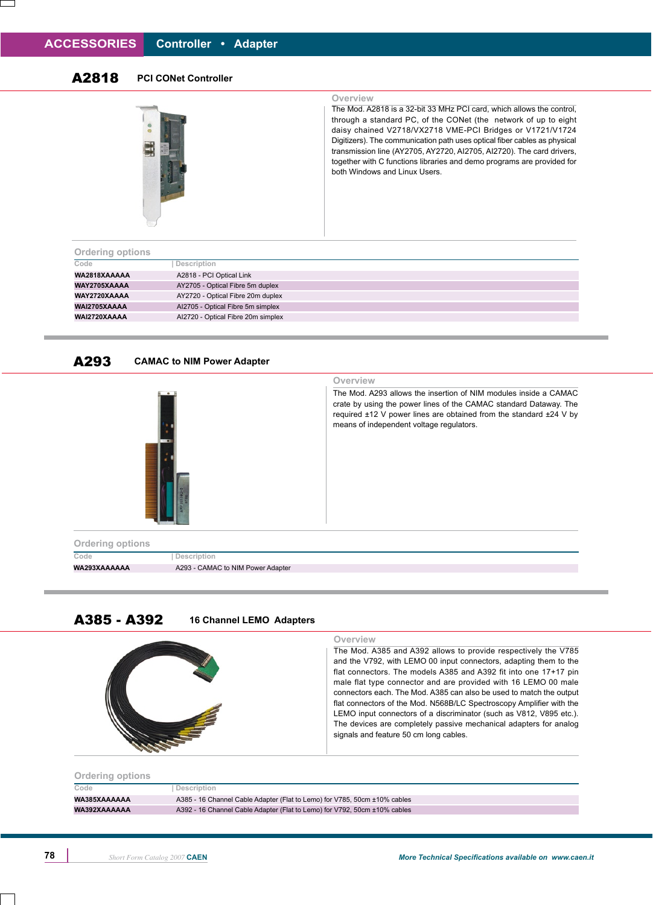# A2818 **PCI CONet Controller**



# **Overview**

The Mod. A2818 is a 32-bit 33 MHz PCI card, which allows the control, through a standard PC, of the CONet (the network of up to eight daisy chained V2718/VX2718 VME-PCI Bridges or V1721/V1724 Digitizers). The communication path uses optical fiber cables as physical transmission line (AY2705, AY2720, AI2705, AI2720). The card drivers, together with C functions libraries and demo programs are provided for both Windows and Linux Users.

| <b>Ordering options</b> |                                    |
|-------------------------|------------------------------------|
| Code                    | Description                        |
| WA2818XAAAAA            | A2818 - PCI Optical Link           |
| WAY2705XAAAA            | AY2705 - Optical Fibre 5m duplex   |
| WAY2720XAAAA            | AY2720 - Optical Fibre 20m duplex  |
| WAI2705XAAAA            | Al2705 - Optical Fibre 5m simplex  |
| WAI2720XAAAA            | Al2720 - Optical Fibre 20m simplex |
|                         |                                    |

#### A293 **CAMAC to NIM Power Adapter**



### **Overview**

The Mod. A293 allows the insertion of NIM modules inside a CAMAC crate by using the power lines of the CAMAC standard Dataway. The required ±12 V power lines are obtained from the standard ±24 V by means of independent voltage regulators.

# A385 - A392 **16 Channel LEMO Adapters**

| Overview<br>The Mod. A385 and A392 allows to provide respectively the V785<br>and the V792, with LEMO 00 input connectors, adapting them to the<br>flat connectors. The models A385 and A392 fit into one 17+17 pin<br>male flat type connector and are provided with 16 LEMO 00 male<br>connectors each. The Mod. A385 can also be used to match the output<br>flat connectors of the Mod. N568B/LC Spectroscopy Amplifier with the<br>LEMO input connectors of a discriminator (such as V812, V895 etc.).<br>The devices are completely passive mechanical adapters for analog<br>signals and feature 50 cm long cables. |
|----------------------------------------------------------------------------------------------------------------------------------------------------------------------------------------------------------------------------------------------------------------------------------------------------------------------------------------------------------------------------------------------------------------------------------------------------------------------------------------------------------------------------------------------------------------------------------------------------------------------------|
|                                                                                                                                                                                                                                                                                                                                                                                                                                                                                                                                                                                                                            |

## **Ordering options**

| Code         | Description                                                               |
|--------------|---------------------------------------------------------------------------|
| WA385XAAAAAA | A385 - 16 Channel Cable Adapter (Flat to Lemo) for V785, 50cm ±10% cables |
| WA392XAAAAAA | A392 - 16 Channel Cable Adapter (Flat to Lemo) for V792, 50cm ±10% cables |
|              |                                                                           |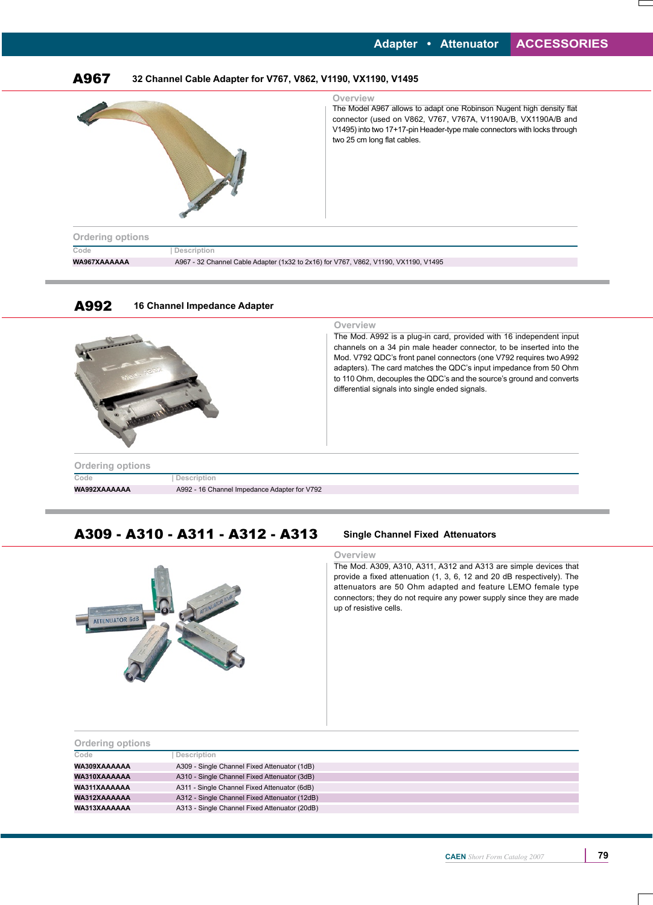

# A309 - A310 - A311 - A312 - A313 **Single Channel Fixed Attenuators**



#### **Overview**

The Mod. A309, A310, A311, A312 and A313 are simple devices that provide a fixed attenuation (1, 3, 6, 12 and 20 dB respectively). The attenuators are 50 Ohm adapted and feature LEMO female type connectors; they do not require any power supply since they are made up of resistive cells.

| <b>Ordering options</b> |                                               |  |
|-------------------------|-----------------------------------------------|--|
| Code                    | Description                                   |  |
| WA309XAAAAAA            | A309 - Single Channel Fixed Attenuator (1dB)  |  |
| WA310XAAAAAA            | A310 - Single Channel Fixed Attenuator (3dB)  |  |
| WA311XAAAAAA            | A311 - Single Channel Fixed Attenuator (6dB)  |  |
| WA312XAAAAAA            | A312 - Single Channel Fixed Attenuator (12dB) |  |
| WA313XAAAAAA            | A313 - Single Channel Fixed Attenuator (20dB) |  |
|                         |                                               |  |